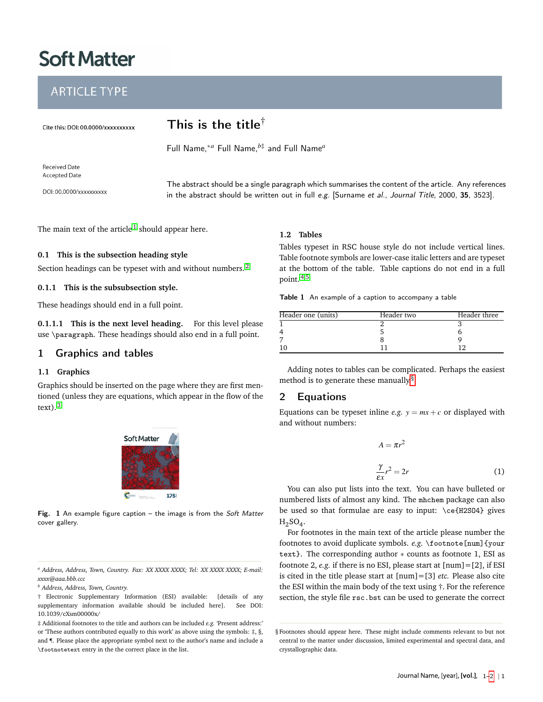# **Soft Matter**

# **ARTICLE TYPE**

Cite this: DOI: 00.0000/xxxxxxxxxx

# This is the title†

Full Name,∗*<sup>a</sup>* Full Name,*b*‡ and Full Name*<sup>a</sup>*

**Received Date Accepted Date** 

DOI: 00.0000/xxxxxxxxx

The abstract should be a single paragraph which summarises the content of the article. Any references in the abstract should be written out in full e.g. [Surname et al., Journal Title, 2000, 35, 3523].

The main text of the article  $^1$  $^1$  should appear here.

#### **0.1 This is the subsection heading style**

Section headings can be typeset with and without numbers.<sup>[2](#page-1-1)</sup>

#### **0.1.1 This is the subsubsection style.**

These headings should end in a full point.

**0.1.1.1 This is the next level heading.** For this level please use \paragraph. These headings should also end in a full point.

# 1 Graphics and tables

#### **1.1 Graphics**

Graphics should be inserted on the page where they are first mentioned (unless they are equations, which appear in the flow of the  $text)$ <sup>[3](#page-1-2)</sup>



Fig.  $1$  An example figure caption – the image is from the Soft Matter cover gallery.

#### **1.2 Tables**

Tables typeset in RSC house style do not include vertical lines. Table footnote symbols are lower-case italic letters and are typeset at the bottom of the table. Table captions do not end in a full point. [4,](#page-1-3)[5](#page-1-4)

Table 1 An example of a caption to accompany a table

| Header one (units) | Header two | Header three |  |
|--------------------|------------|--------------|--|
|                    |            |              |  |
|                    |            |              |  |
|                    |            |              |  |
|                    |            |              |  |

Adding notes to tables can be complicated. Perhaps the easiest method is to generate these manually.[§](#page-0-0)

## 2 Equations

Equations can be typeset inline *e.g.*  $y = mx + c$  or displayed with and without numbers:

$$
A = \pi r^2
$$
  

$$
\frac{\gamma}{\varepsilon x} r^2 = 2r
$$
 (1)

You can also put lists into the text. You can have bulleted or numbered lists of almost any kind. The mhchem package can also be used so that formulae are easy to input: \ce{H2SO4} gives  $H_2SO_4$ .

For footnotes in the main text of the article please number the footnotes to avoid duplicate symbols. *e.g.* \footnote[num]{your text}. The corresponding author ∗ counts as footnote 1, ESI as footnote 2, *e.g.* if there is no ESI, please start at [num]=[2], if ESI is cited in the title please start at [num]=[3] *etc.* Please also cite the ESI within the main body of the text using †. For the reference section, the style file rsc.bst can be used to generate the correct

*<sup>a</sup> Address, Address, Town, Country. Fax: XX XXXX XXXX; Tel: XX XXXX XXXX; E-mail: xxxx@aaa.bbb.ccc*

*<sup>b</sup> Address, Address, Town, Country.*

<sup>†</sup> Electronic Supplementary Information (ESI) available: [details of any supplementary information available should be included here]. See DOI: 10.1039/cXsm00000x/

<sup>‡</sup> Additional footnotes to the title and authors can be included *e.g.* 'Present address:' or 'These authors contributed equally to this work' as above using the symbols:  $\ddagger$ ,  $\S$ , and ¶. Please place the appropriate symbol next to the author's name and include a \footnotetext entry in the the correct place in the list.

<span id="page-0-0"></span><sup>§</sup> Footnotes should appear here. These might include comments relevant to but not central to the matter under discussion, limited experimental and spectral data, and crystallographic data.